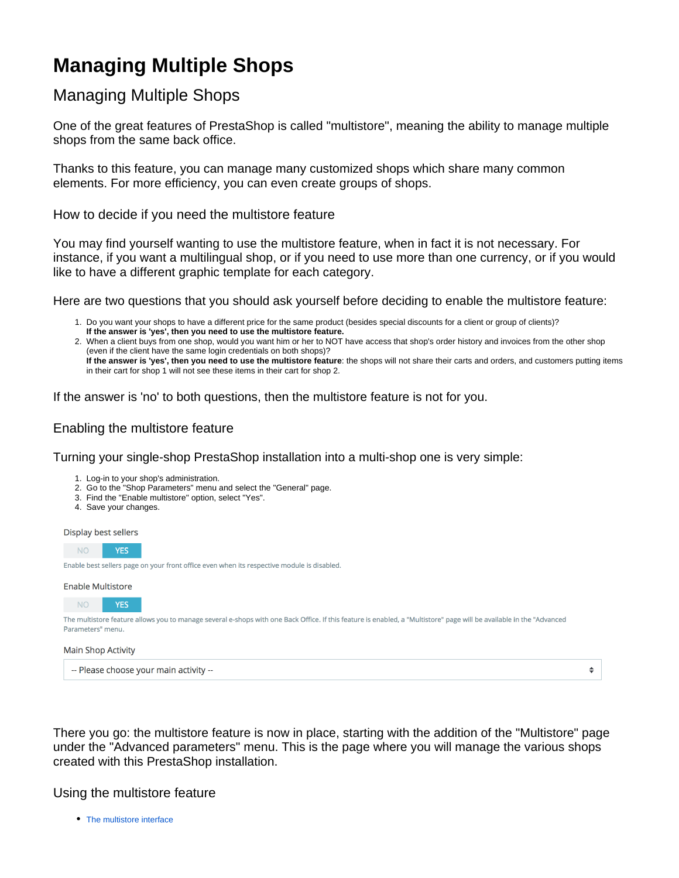# **Managing Multiple Shops**

# Managing Multiple Shops

One of the great features of PrestaShop is called "multistore", meaning the ability to manage multiple shops from the same back office.

Thanks to this feature, you can manage many customized shops which share many common elements. For more efficiency, you can even create groups of shops.

How to decide if you need the multistore feature

You may find yourself wanting to use the multistore feature, when in fact it is not necessary. For instance, if you want a multilingual shop, or if you need to use more than one currency, or if you would like to have a different graphic template for each category.

Here are two questions that you should ask yourself before deciding to enable the multistore feature:

- 1. Do you want your shops to have a different price for the same product (besides special discounts for a client or group of clients)? 2. When a client buys from one shop, would you want him or her to NOT have access that shop's order history and invoices from the other shop **If the answer is 'yes', then you need to use the multistore feature.**
- (even if the client have the same login credentials on both shops)? **If the answer is 'yes', then you need to use the multistore feature**: the shops will not share their carts and orders, and customers putting items in their cart for shop 1 will not see these items in their cart for shop 2.

If the answer is 'no' to both questions, then the multistore feature is not for you.

## Enabling the multistore feature

Turning your single-shop PrestaShop installation into a multi-shop one is very simple:

- 1. Log-in to your shop's administration.
- 2. Go to the "Shop Parameters" menu and select the "General" page.
- 3. Find the "Enable multistore" option, select "Yes".
- 4. Save your changes.

Display best sellers



#### **Enable Multistore**

NO<sub>1</sub> **YFS** The multistore feature allows you to manage several e-shops with one Back Office. If this feature is enabled, a "Multistore" page will be available in the "Advanced Parameters" menu.

#### **Main Shop Activity**

-- Please choose your main activity --

There you go: the multistore feature is now in place, starting with the addition of the "Multistore" page under the "Advanced parameters" menu. This is the page where you will manage the various shops created with this PrestaShop installation.

 $\spadesuit$ 

### Using the multistore feature

• [The multistore interface](https://doc.prestashop.com/display/PS17/The+multistore+interface)